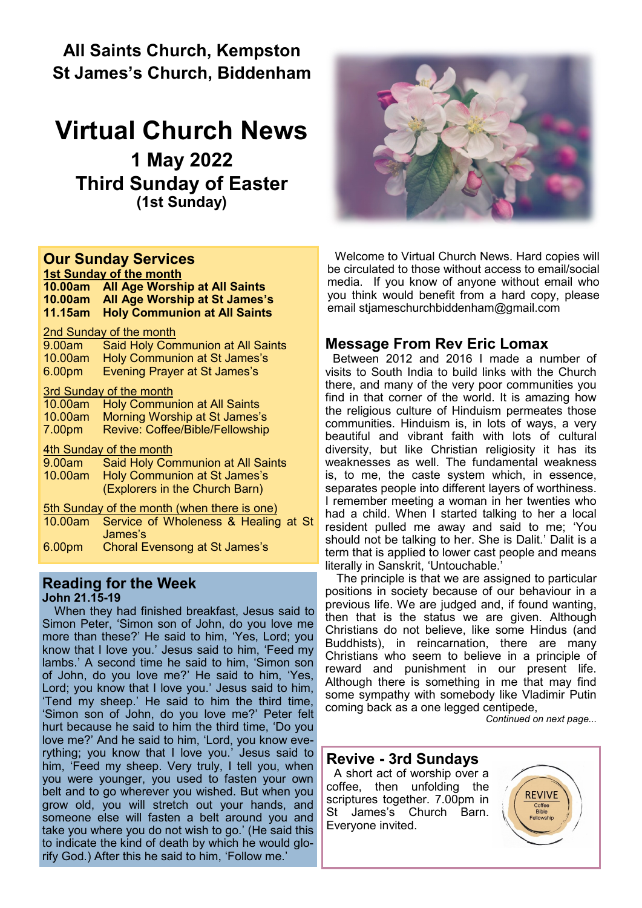**All Saints Church, Kempston St James's Church, Biddenham** 

## **Virtual Church News**

**1 May 2022 Third Sunday of Easter (1st Sunday)**

## **Our Sunday Services**

**1st Sunday of the month 10.00am All Age Worship at All Saints 10.00am All Age Worship at St James's 11.15am Holy Communion at All Saints**

#### 2nd Sunday of the month

| 9.00am                                      | <b>Said Holy Communion at All Saints</b> |
|---------------------------------------------|------------------------------------------|
| 10.00am                                     | <b>Holy Communion at St James's</b>      |
| 6.00pm                                      | <b>Evening Prayer at St James's</b>      |
| <b>3rd Sunday of the month</b>              |                                          |
| 10.00am                                     | <b>Holy Communion at All Saints</b>      |
| 10.00am                                     | Morning Worship at St James's            |
| 7.00 <sub>pm</sub>                          | <b>Revive: Coffee/Bible/Fellowship</b>   |
| 4th Sunday of the month                     |                                          |
| 9.00am                                      | <b>Said Holy Communion at All Saints</b> |
| 10.00am                                     | Holy Communion at St James's             |
|                                             | (Explorers in the Church Barn)           |
| 5th Sunday of the month (when there is one) |                                          |
| 10.00am                                     | Service of Wholeness & Healing at St     |
|                                             | James's                                  |
| 6.00 <sub>pm</sub>                          | <b>Choral Evensong at St James's</b>     |

#### **Reading for the Week John 21.15-19**

When they had finished breakfast, Jesus said to Simon Peter, 'Simon son of John, do you love me more than these?' He said to him, 'Yes, Lord; you know that I love you.' Jesus said to him, 'Feed my lambs.' A second time he said to him, 'Simon son of John, do you love me?' He said to him, 'Yes, Lord; you know that I love you.' Jesus said to him, 'Tend my sheep.' He said to him the third time, 'Simon son of John, do you love me?' Peter felt hurt because he said to him the third time, 'Do you love me?' And he said to him, 'Lord, you know everything; you know that I love you.' Jesus said to him, 'Feed my sheep. Very truly, I tell you, when you were younger, you used to fasten your own belt and to go wherever you wished. But when you grow old, you will stretch out your hands, and someone else will fasten a belt around you and take you where you do not wish to go.' (He said this to indicate the kind of death by which he would glorify God.) After this he said to him, 'Follow me.'



Welcome to Virtual Church News. Hard copies will be circulated to those without access to email/social media. If you know of anyone without email who you think would benefit from a hard copy, please email [stjameschurchbiddenham@gmail.com](mailto:Jacqui.piper@btinternet.com) 

## **Message From Rev Eric Lomax**

Between 2012 and 2016 I made a number of visits to South India to build links with the Church there, and many of the very poor communities you find in that corner of the world. It is amazing how the religious culture of Hinduism permeates those communities. Hinduism is, in lots of ways, a very beautiful and vibrant faith with lots of cultural diversity, but like Christian religiosity it has its weaknesses as well. The fundamental weakness is, to me, the caste system which, in essence, separates people into different layers of worthiness. I remember meeting a woman in her twenties who had a child. When I started talking to her a local resident pulled me away and said to me; 'You should not be talking to her. She is Dalit.' Dalit is a term that is applied to lower cast people and means literally in Sanskrit, 'Untouchable.'

The principle is that we are assigned to particular positions in society because of our behaviour in a previous life. We are judged and, if found wanting, then that is the status we are given. Although Christians do not believe, like some Hindus (and Buddhists), in reincarnation, there are many Christians who seem to believe in a principle of reward and punishment in our present life. Although there is something in me that may find some sympathy with somebody like Vladimir Putin coming back as a one legged centipede,

*Continued on next page...*

## **Revive - 3rd Sundays**

A short act of worship over a coffee, then unfolding the scriptures together. 7.00pm in St James's Church Barn. Everyone invited.

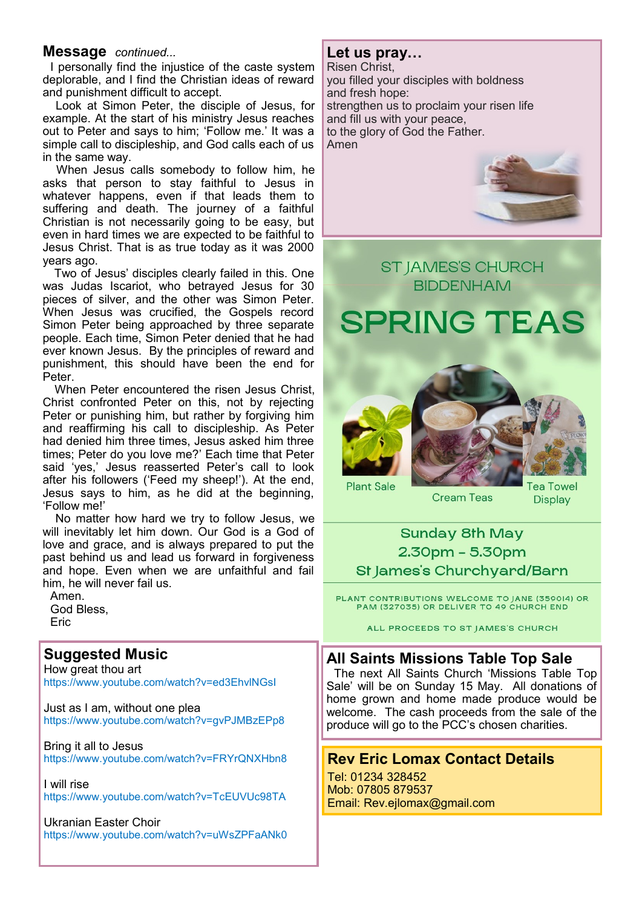#### **Message** *continued...*

I personally find the injustice of the caste system deplorable, and I find the Christian ideas of reward and punishment difficult to accept.

Look at Simon Peter, the disciple of Jesus, for example. At the start of his ministry Jesus reaches out to Peter and says to him; 'Follow me.' It was a simple call to discipleship, and God calls each of us in the same way.

When Jesus calls somebody to follow him, he asks that person to stay faithful to Jesus in whatever happens, even if that leads them to suffering and death. The journey of a faithful Christian is not necessarily going to be easy, but even in hard times we are expected to be faithful to Jesus Christ. That is as true today as it was 2000 years ago.

Two of Jesus' disciples clearly failed in this. One was Judas Iscariot, who betrayed Jesus for 30 pieces of silver, and the other was Simon Peter. When Jesus was crucified, the Gospels record Simon Peter being approached by three separate people. Each time, Simon Peter denied that he had ever known Jesus. By the principles of reward and punishment, this should have been the end for **Peter** 

When Peter encountered the risen Jesus Christ, Christ confronted Peter on this, not by rejecting Peter or punishing him, but rather by forgiving him and reaffirming his call to discipleship. As Peter had denied him three times, Jesus asked him three times; Peter do you love me?' Each time that Peter said 'yes,' Jesus reasserted Peter's call to look after his followers ('Feed my sheep!'). At the end, Jesus says to him, as he did at the beginning, 'Follow me!'

No matter how hard we try to follow Jesus, we will inevitably let him down. Our God is a God of love and grace, and is always prepared to put the past behind us and lead us forward in forgiveness and hope. Even when we are unfaithful and fail him, he will never fail us.

Amen. God Bless, **Eric** 

## **Suggested Music**

How great thou art https://www.youtube.com/watch?v=ed3EhvlNGsI

Just as I am, without one plea https://www.youtube.com/watch?v=gvPJMBzEPp8

Bring it all to Jesus https://www.youtube.com/watch?v=FRYrQNXHbn8

I will rise https://www.youtube.com/watch?v=TcEUVUc98TA

Ukranian Easter Choir https://www.youtube.com/watch?v=uWsZPFaANk0

### **Let us pray…**

Risen Christ, you filled your disciples with boldness and fresh hope: strengthen us to proclaim your risen life and fill us with your peace, to the glory of God the Father. Amen



## **ST JAMES'S CHURCH BIDDENHAM**

**SPRING TEAS** 





**Cream Teas** 

ea Towel **Display** 

## **Sunday 8th May** 2.30pm - 5.30pm St James's Churchyard/Barn

PLANT CONTRIBUTIONS WELCOME TO JANE (359014) OR<br>PAM (327035) OR DELIVER TO 49 CHURCH END

ALL PROCEEDS TO ST JAMES'S CHURCH

### **All Saints Missions Table Top Sale**

The next All Saints Church 'Missions Table Top Sale' will be on Sunday 15 May. All donations of home grown and home made produce would be welcome. The cash proceeds from the sale of the produce will go to the PCC's chosen charities.

### **Rev Eric Lomax Contact Details**

Tel: 01234 328452 Mob: 07805 879537 Email: Rev.ejlomax@gmail.com